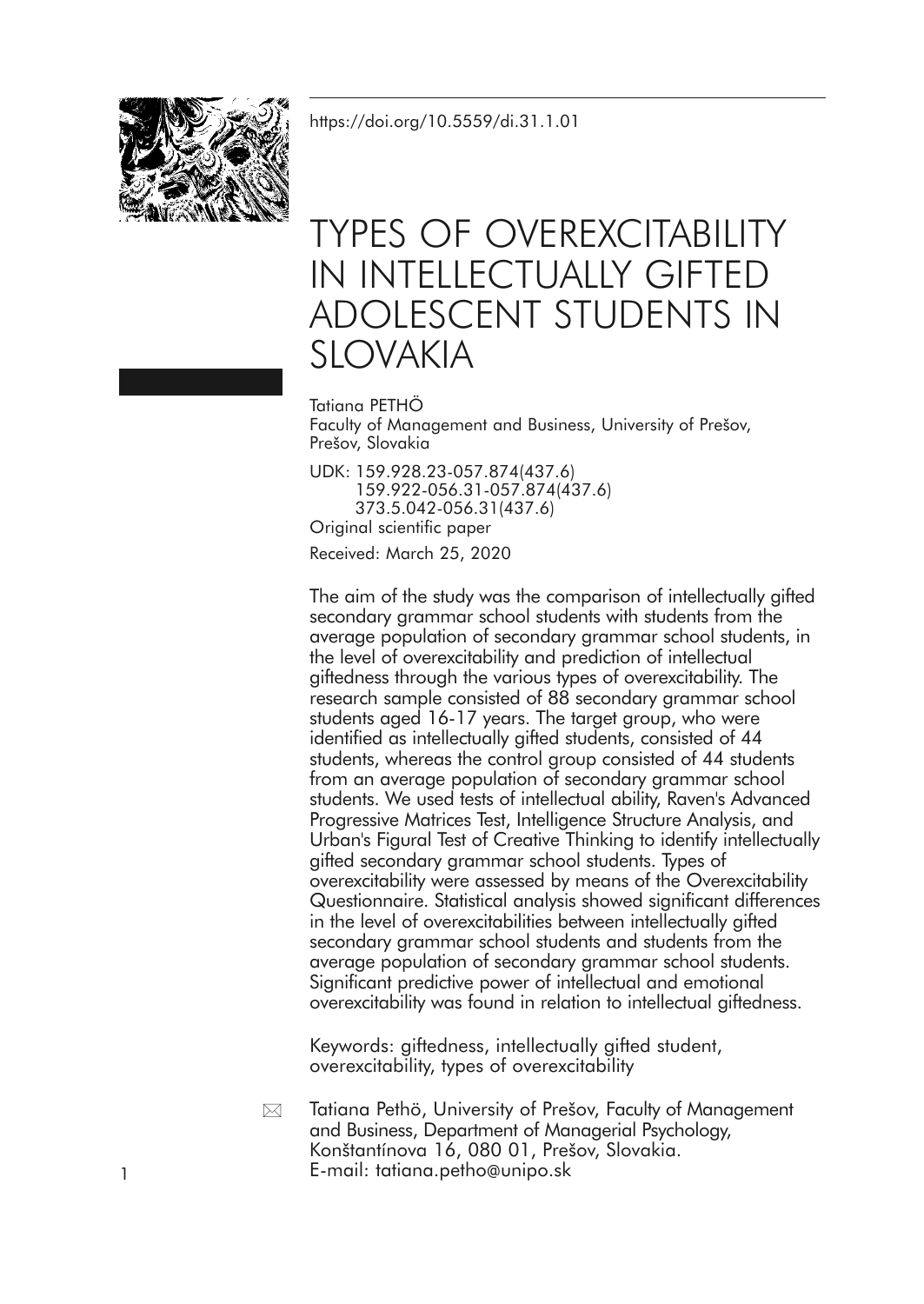<https://doi.org/10.5559/di.31.1.01>



# TYPES OF OVEREXCITABILITY IN INTELLECTUALLY GIFTED ADOLESCENT STUDENTS IN SLOVAKIA

Tatiana PETHÖ Faculty of Management and Business, University of Prešov, Prešov, Slovakia

UDK: 159.928.23-057.874(437.6) 159.922-056.31-057.874(437.6) 373.5.042-056.31(437.6) Original scientific paper Received: March 25, 2020

The aim of the study was the comparison of intellectually gifted secondary grammar school students with students from the average population of secondary grammar school students, in the level of overexcitability and prediction of intellectual giftedness through the various types of overexcitability. The research sample consisted of 88 secondary grammar school students aged 16-17 years. The target group, who were identified as intellectually gifted students, consisted of 44 students, whereas the control group consisted of 44 students from an average population of secondary grammar school students. We used tests of intellectual ability, Raven's Advanced Progressive Matrices Test, Intelligence Structure Analysis, and Urban's Figural Test of Creative Thinking to identify intellectually gifted secondary grammar school students. Types of overexcitability were assessed by means of the Overexcitability Questionnaire. Statistical analysis showed significant differences in the level of overexcitabilities between intellectually gifted secondary grammar school students and students from the average population of secondary grammar school students. Significant predictive power of intellectual and emotional overexcitability was found in relation to intellectual giftedness.

Keywords: giftedness, intellectually gifted student, overexcitability, types of overexcitability

Tatiana Pethö, University of Prešov, Faculty of Management and Business, Department of Managerial Psychology, Konštantínova 16, 080 01, Prešov, Slovakia. 1 E-mail: tatiana.petho@unipo.sk  $\boxtimes$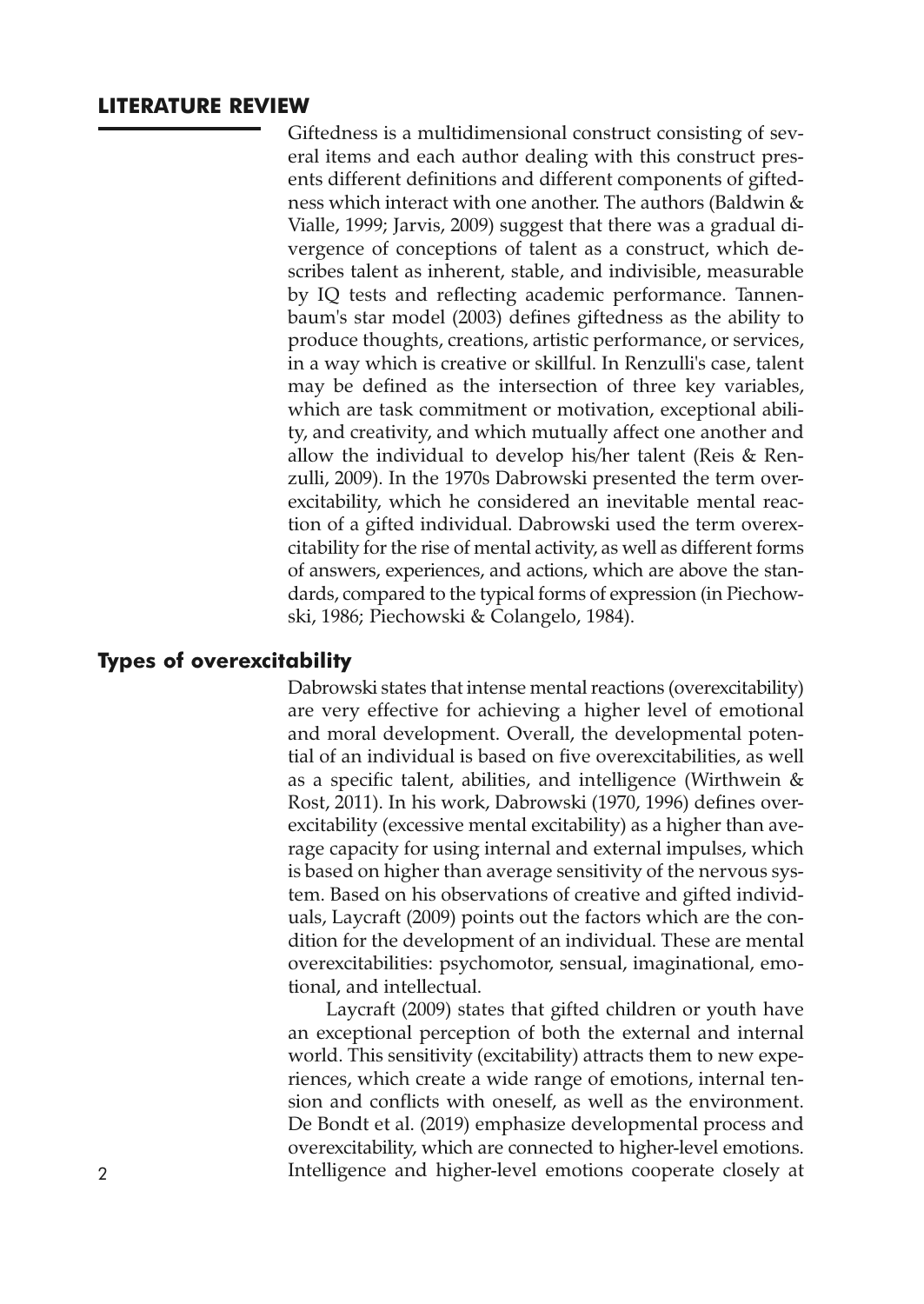#### **LITERATURE REVIEW**

Giftedness is a multidimensional construct consisting of several items and each author dealing with this construct presents different definitions and different components of giftedness which interact with one another. The authors (Baldwin & Vialle, 1999; Jarvis, 2009) suggest that there was a gradual divergence of conceptions of talent as a construct, which describes talent as inherent, stable, and indivisible, measurable by IQ tests and reflecting academic performance. Tannenbaum's star model (2003) defines giftedness as the ability to produce thoughts, creations, artistic performance, or services, in a way which is creative or skillful. In Renzulli's case, talent may be defined as the intersection of three key variables, which are task commitment or motivation, exceptional ability, and creativity, and which mutually affect one another and allow the individual to develop his/her talent (Reis & Renzulli, 2009). In the 1970s Dabrowski presented the term overexcitability, which he considered an inevitable mental reaction of a gifted individual. Dabrowski used the term overexcitability for the rise of mental activity, as well as different forms of answers, experiences, and actions, which are above the standards, compared to the typical forms of expression (in Piechowski, 1986; Piechowski & Colangelo, 1984).

#### **Types of overexcitability**

Dabrowski states that intense mental reactions (overexcitability) are very effective for achieving a higher level of emotional and moral development. Overall, the developmental potential of an individual is based on five overexcitabilities, as well as a specific talent, abilities, and intelligence (Wirthwein & Rost, 2011). In his work, Dabrowski (1970, 1996) defines overexcitability (excessive mental excitability) as a higher than average capacity for using internal and external impulses, which is based on higher than average sensitivity of the nervous system. Based on his observations of creative and gifted individuals, Laycraft (2009) points out the factors which are the condition for the development of an individual. These are mental overexcitabilities: psychomotor, sensual, imaginational, emotional, and intellectual.

Laycraft (2009) states that gifted children or youth have an exceptional perception of both the external and internal world. This sensitivity (excitability) attracts them to new experiences, which create a wide range of emotions, internal tension and conflicts with oneself, as well as the environment. De Bondt et al. (2019) emphasize developmental process and overexcitability, which are connected to higher-level emotions. 2 Intelligence and higher-level emotions cooperate closely at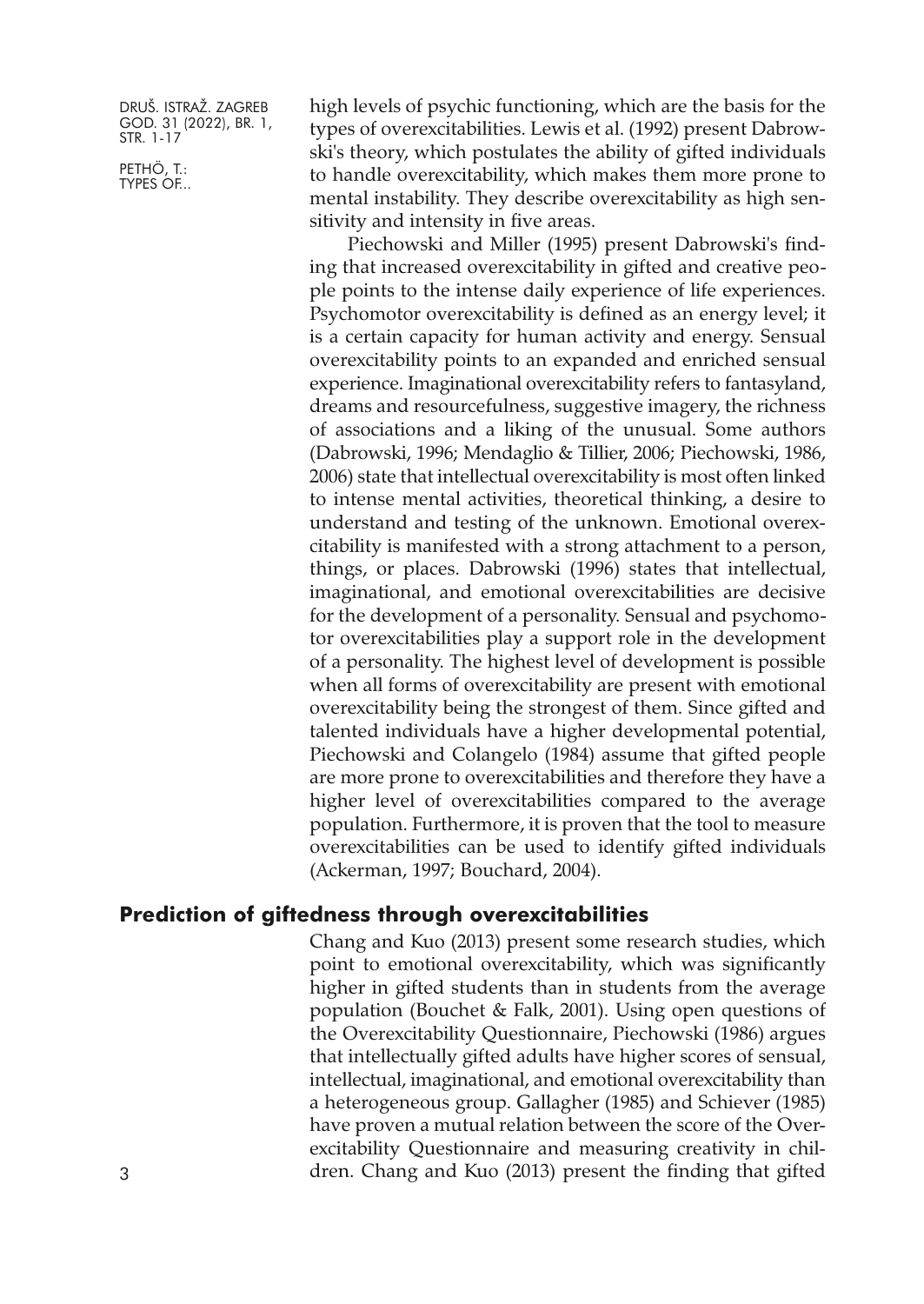PETHÖ, T.: TYPES OF... high levels of psychic functioning, which are the basis for the types of overexcitabilities. Lewis et al. (1992) present Dabrowski's theory, which postulates the ability of gifted individuals to handle overexcitability, which makes them more prone to mental instability. They describe overexcitability as high sensitivity and intensity in five areas.

Piechowski and Miller (1995) present Dabrowski's finding that increased overexcitability in gifted and creative people points to the intense daily experience of life experiences. Psychomotor overexcitability is defined as an energy level; it is a certain capacity for human activity and energy. Sensual overexcitability points to an expanded and enriched sensual experience. Imaginational overexcitability refers to fantasyland, dreams and resourcefulness, suggestive imagery, the richness of associations and a liking of the unusual. Some authors (Dabrowski, 1996; Mendaglio & Tillier, 2006; Piechowski, 1986, 2006) state that intellectual overexcitability is most often linked to intense mental activities, theoretical thinking, a desire to understand and testing of the unknown. Emotional overexcitability is manifested with a strong attachment to a person, things, or places. Dabrowski (1996) states that intellectual, imaginational, and emotional overexcitabilities are decisive for the development of a personality. Sensual and psychomotor overexcitabilities play a support role in the development of a personality. The highest level of development is possible when all forms of overexcitability are present with emotional overexcitability being the strongest of them. Since gifted and talented individuals have a higher developmental potential, Piechowski and Colangelo (1984) assume that gifted people are more prone to overexcitabilities and therefore they have a higher level of overexcitabilities compared to the average population. Furthermore, it is proven that the tool to measure overexcitabilities can be used to identify gifted individuals (Ackerman, 1997; Bouchard, 2004).

#### **Prediction of giftedness through overexcitabilities**

Chang and Kuo (2013) present some research studies, which point to emotional overexcitability, which was significantly higher in gifted students than in students from the average population (Bouchet & Falk, 2001). Using open questions of the Overexcitability Questionnaire, Piechowski (1986) argues that intellectually gifted adults have higher scores of sensual, intellectual, imaginational, and emotional overexcitability than a heterogeneous group. Gallagher (1985) and Schiever (1985) have proven a mutual relation between the score of the Overexcitability Questionnaire and measuring creativity in children. Chang and Kuo (2013) present the finding that gifted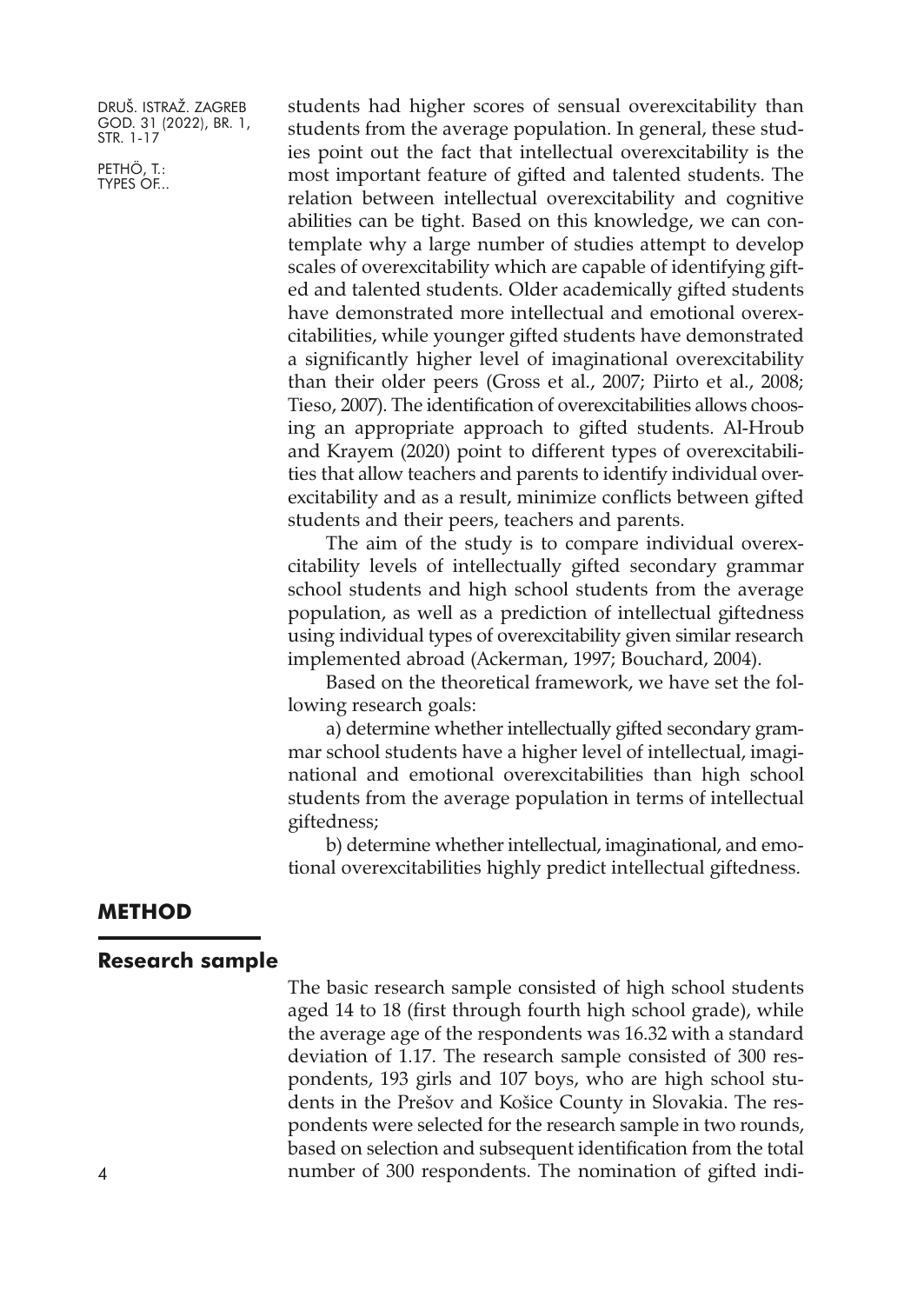PETHÖ, T.: TYPES OF...

students had higher scores of sensual overexcitability than students from the average population. In general, these studies point out the fact that intellectual overexcitability is the most important feature of gifted and talented students. The relation between intellectual overexcitability and cognitive abilities can be tight. Based on this knowledge, we can contemplate why a large number of studies attempt to develop scales of overexcitability which are capable of identifying gifted and talented students. Older academically gifted students have demonstrated more intellectual and emotional overexcitabilities, while younger gifted students have demonstrated a significantly higher level of imaginational overexcitability than their older peers (Gross et al., 2007; Piirto et al., 2008; Tieso, 2007). The identification of overexcitabilities allows choosing an appropriate approach to gifted students. Al-Hroub and Krayem (2020) point to different types of overexcitabilities that allow teachers and parents to identify individual overexcitability and as a result, minimize conflicts between gifted students and their peers, teachers and parents.

The aim of the study is to compare individual overexcitability levels of intellectually gifted secondary grammar school students and high school students from the average population, as well as a prediction of intellectual giftedness using individual types of overexcitability given similar research implemented abroad (Ackerman, 1997; Bouchard, 2004).

Based on the theoretical framework, we have set the following research goals:

a) determine whether intellectually gifted secondary grammar school students have a higher level of intellectual, imaginational and emotional overexcitabilities than high school students from the average population in terms of intellectual giftedness;

b) determine whether intellectual, imaginational, and emotional overexcitabilities highly predict intellectual giftedness.

#### **METHOD**

#### **Research sample**

The basic research sample consisted of high school students aged 14 to 18 (first through fourth high school grade), while the average age of the respondents was 16.32 with a standard deviation of 1.17. The research sample consisted of 300 respondents, 193 girls and 107 boys, who are high school students in the Prešov and Košice County in Slovakia. The respondents were selected for the research sample in two rounds, based on selection and subsequent identification from the total 4 number of 300 respondents. The nomination of gifted indi-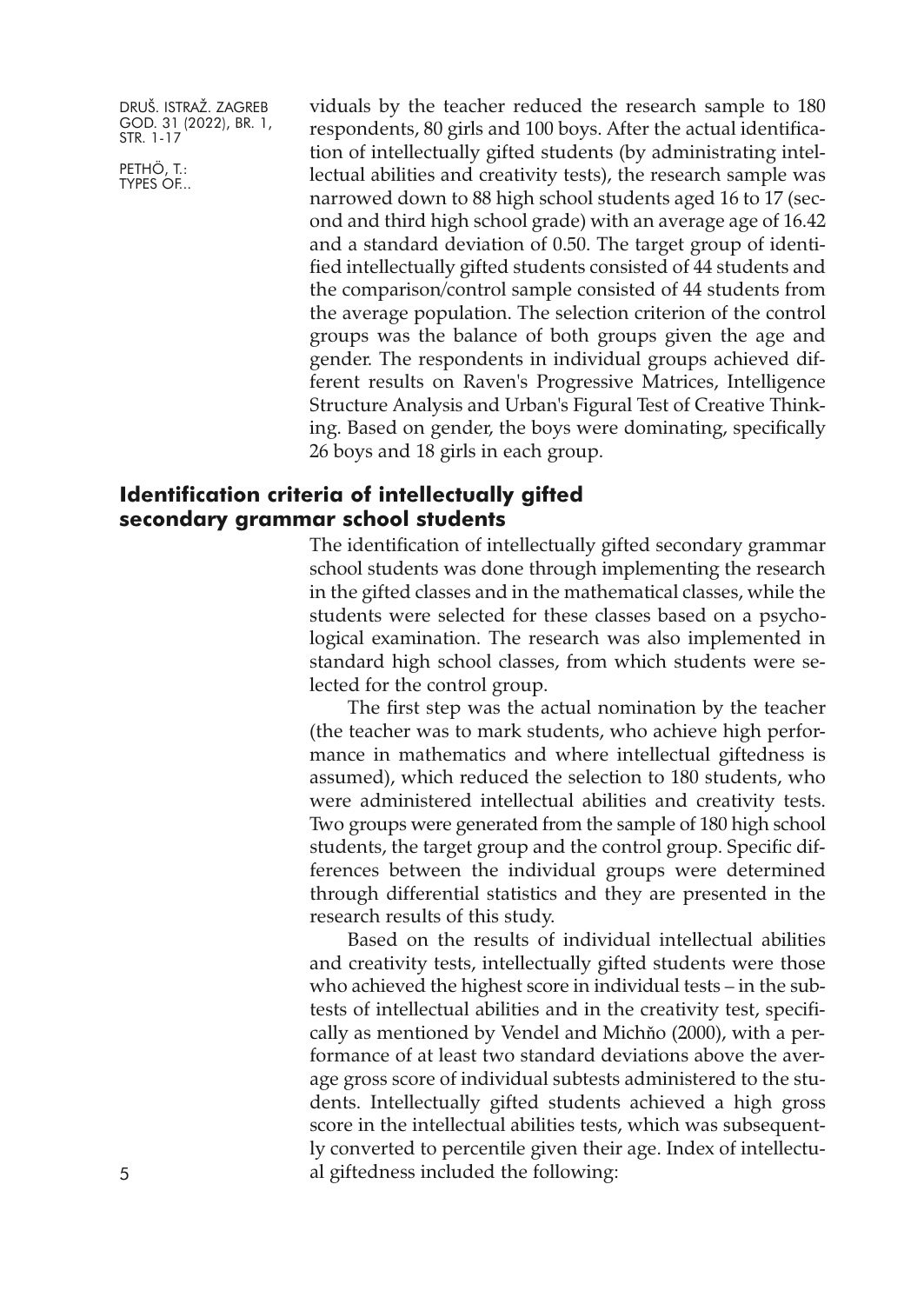PETHÖ, T.: TYPES OF... viduals by the teacher reduced the research sample to 180 respondents, 80 girls and 100 boys. After the actual identification of intellectually gifted students (by administrating intellectual abilities and creativity tests), the research sample was narrowed down to 88 high school students aged 16 to 17 (second and third high school grade) with an average age of 16.42 and a standard deviation of 0.50. The target group of identified intellectually gifted students consisted of 44 students and the comparison/control sample consisted of 44 students from the average population. The selection criterion of the control groups was the balance of both groups given the age and gender. The respondents in individual groups achieved different results on Raven's Progressive Matrices, Intelligence Structure Analysis and Urban's Figural Test of Creative Thinking. Based on gender, the boys were dominating, specifically 26 boys and 18 girls in each group.

## **Identification criteria of intellectually gifted secondary grammar school students**

The identification of intellectually gifted secondary grammar school students was done through implementing the research in the gifted classes and in the mathematical classes, while the students were selected for these classes based on a psychological examination. The research was also implemented in standard high school classes, from which students were selected for the control group.

The first step was the actual nomination by the teacher (the teacher was to mark students, who achieve high performance in mathematics and where intellectual giftedness is assumed), which reduced the selection to 180 students, who were administered intellectual abilities and creativity tests. Two groups were generated from the sample of 180 high school students, the target group and the control group. Specific differences between the individual groups were determined through differential statistics and they are presented in the research results of this study.

Based on the results of individual intellectual abilities and creativity tests, intellectually gifted students were those who achieved the highest score in individual tests – in the subtests of intellectual abilities and in the creativity test, specifically as mentioned by Vendel and Michňo (2000), with a performance of at least two standard deviations above the average gross score of individual subtests administered to the students. Intellectually gifted students achieved a high gross score in the intellectual abilities tests, which was subsequently converted to percentile given their age. Index of intellectual giftedness included the following: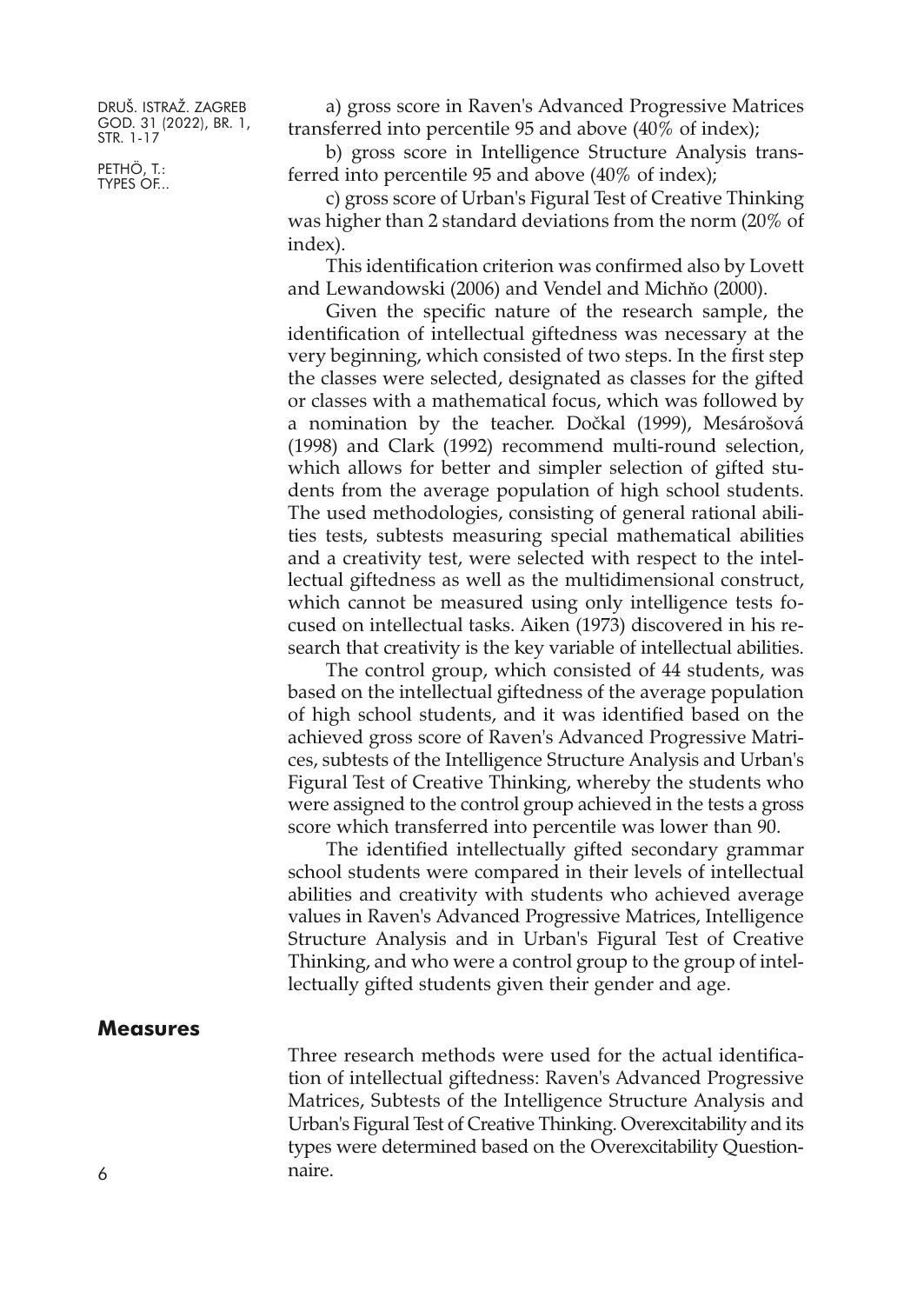PETHÖ, T.: TYPES OF...

a) gross score in Raven's Advanced Progressive Matrices transferred into percentile 95 and above (40% of index);

b) gross score in Intelligence Structure Analysis transferred into percentile 95 and above (40% of index);

c) gross score of Urban's Figural Test of Creative Thinking was higher than 2 standard deviations from the norm (20% of index).

This identification criterion was confirmed also by Lovett and Lewandowski (2006) and Vendel and Michňo (2000).

Given the specific nature of the research sample, the identification of intellectual giftedness was necessary at the very beginning, which consisted of two steps. In the first step the classes were selected, designated as classes for the gifted or classes with a mathematical focus, which was followed by a nomination by the teacher. Dočkal (1999), Mesárošová (1998) and Clark (1992) recommend multi-round selection, which allows for better and simpler selection of gifted students from the average population of high school students. The used methodologies, consisting of general rational abilities tests, subtests measuring special mathematical abilities and a creativity test, were selected with respect to the intellectual giftedness as well as the multidimensional construct, which cannot be measured using only intelligence tests focused on intellectual tasks. Aiken (1973) discovered in his research that creativity is the key variable of intellectual abilities.

The control group, which consisted of 44 students, was based on the intellectual giftedness of the average population of high school students, and it was identified based on the achieved gross score of Raven's Advanced Progressive Matrices, subtests of the Intelligence Structure Analysis and Urban's Figural Test of Creative Thinking, whereby the students who were assigned to the control group achieved in the tests a gross score which transferred into percentile was lower than 90.

The identified intellectually gifted secondary grammar school students were compared in their levels of intellectual abilities and creativity with students who achieved average values in Raven's Advanced Progressive Matrices, Intelligence Structure Analysis and in Urban's Figural Test of Creative Thinking, and who were a control group to the group of intellectually gifted students given their gender and age.

#### **Measures**

Three research methods were used for the actual identification of intellectual giftedness: Raven's Advanced Progressive Matrices, Subtests of the Intelligence Structure Analysis and Urban's Figural Test of Creative Thinking. Overexcitability and its types were determined based on the Overexcitability Question-6 naire.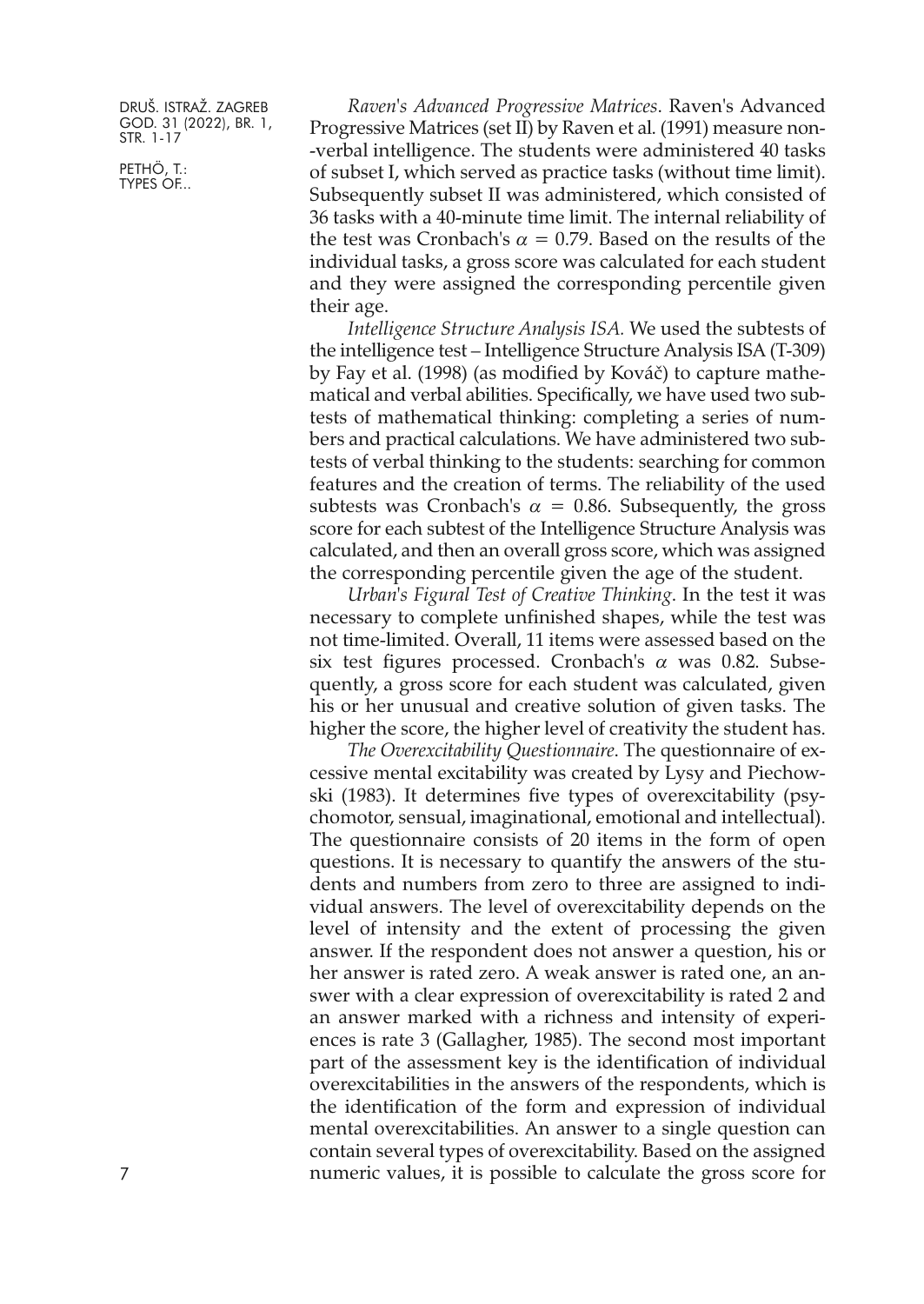PETHÖ, T.: TYPES OF...

*Raven's Advanced Progressive Matrices*. Raven's Advanced Progressive Matrices (set II) by Raven et al. (1991) measure non- -verbal intelligence. The students were administered 40 tasks of subset I, which served as practice tasks (without time limit). Subsequently subset II was administered, which consisted of 36 tasks with a 40-minute time limit. The internal reliability of the test was Cronbach's  $\alpha = 0.79$ . Based on the results of the individual tasks, a gross score was calculated for each student and they were assigned the corresponding percentile given their age.

*Intelligence Structure Analysis ISA.* We used the subtests of the intelligence test – Intelligence Structure Analysis ISA (T-309) by Fay et al. (1998) (as modified by Kováč) to capture mathematical and verbal abilities. Specifically, we have used two subtests of mathematical thinking: completing a series of numbers and practical calculations. We have administered two subtests of verbal thinking to the students: searching for common features and the creation of terms. The reliability of the used subtests was Cronbach's  $\alpha = 0.86$ . Subsequently, the gross score for each subtest of the Intelligence Structure Analysis was calculated, and then an overall gross score, which was assigned the corresponding percentile given the age of the student.

*Urban's Figural Test of Creative Thinking*. In the test it was necessary to complete unfinished shapes, while the test was not time-limited. Overall, 11 items were assessed based on the six test figures processed. Cronbach's  $\alpha$  was 0.82. Subsequently, a gross score for each student was calculated, given his or her unusual and creative solution of given tasks. The higher the score, the higher level of creativity the student has.

*The Overexcitability Questionnaire*. The questionnaire of excessive mental excitability was created by Lysy and Piechowski (1983). It determines five types of overexcitability (psychomotor, sensual, imaginational, emotional and intellectual). The questionnaire consists of 20 items in the form of open questions. It is necessary to quantify the answers of the students and numbers from zero to three are assigned to individual answers. The level of overexcitability depends on the level of intensity and the extent of processing the given answer. If the respondent does not answer a question, his or her answer is rated zero. A weak answer is rated one, an answer with a clear expression of overexcitability is rated 2 and an answer marked with a richness and intensity of experiences is rate 3 (Gallagher, 1985). The second most important part of the assessment key is the identification of individual overexcitabilities in the answers of the respondents, which is the identification of the form and expression of individual mental overexcitabilities. An answer to a single question can contain several types of overexcitability. Based on the assigned numeric values, it is possible to calculate the gross score for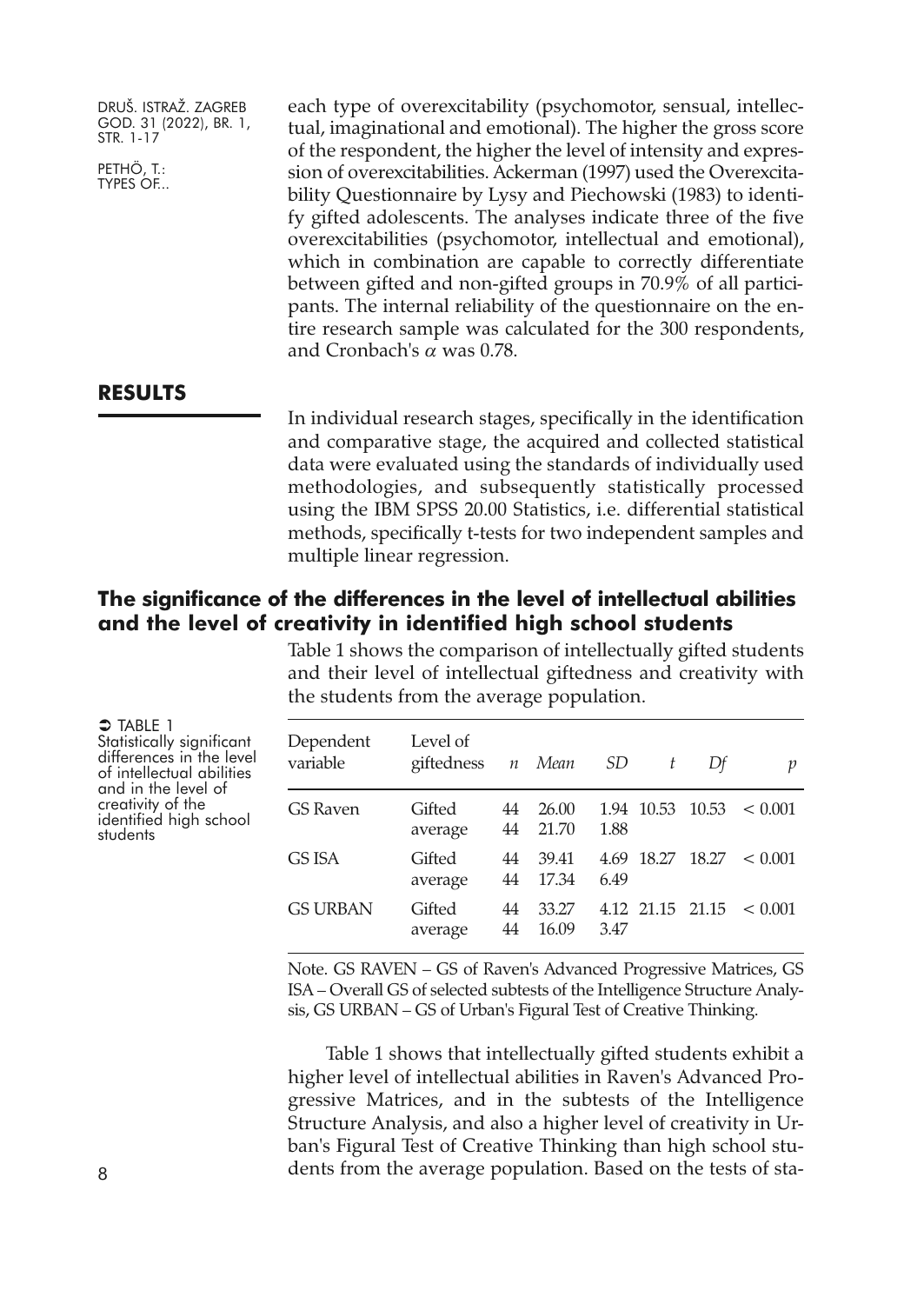PETHÖ, T.: TYPES OF... each type of overexcitability (psychomotor, sensual, intellectual, imaginational and emotional). The higher the gross score of the respondent, the higher the level of intensity and expression of overexcitabilities. Ackerman (1997) used the Overexcitability Questionnaire by Lysy and Piechowski (1983) to identify gifted adolescents. The analyses indicate three of the five overexcitabilities (psychomotor, intellectual and emotional), which in combination are capable to correctly differentiate between gifted and non-gifted groups in 70.9% of all participants. The internal reliability of the questionnaire on the entire research sample was calculated for the 300 respondents, and Cronbach's  $\alpha$  was 0.78.

#### **RESULTS**

In individual research stages, specifically in the identification and comparative stage, the acquired and collected statistical data were evaluated using the standards of individually used methodologies, and subsequently statistically processed using the IBM SPSS 20.00 Statistics, i.e. differential statistical methods, specifically t-tests for two independent samples and multiple linear regression.

# **The significance of the differences in the level of intellectual abilities and the level of creativity in identified high school students**

Table 1 shows the comparison of intellectually gifted students and their level of intellectual giftedness and creativity with the students from the average population.

 $\bigcirc$  Table 1 Statistically significant<br>differences in the level of intellectual abilities<br>and in the level of<br>creativity of the<br>identified high school<br>students

| Dependent<br>variable | Level of<br>giftedness <i>n</i> Mean SD |          |                |      | t | Df | p                          |
|-----------------------|-----------------------------------------|----------|----------------|------|---|----|----------------------------|
| GS Raven              | Gifted<br>average                       | 44<br>44 | 26.00<br>21.70 | 1.88 |   |    | $1.94$ 10.53 10.53 < 0.001 |
| GS ISA                | Gifted<br>average                       | 44<br>44 | 39.41<br>17.34 | 6.49 |   |    | $4.69$ 18.27 18.27 < 0.001 |
| GS URBAN              | Gifted<br>average                       | 44<br>44 | 33.27<br>16.09 | 3.47 |   |    | $4.12$ 21.15 21.15 < 0.001 |

Note. GS RAVEN – GS of Raven's Advanced Progressive Matrices, GS ISA – Overall GS of selected subtests of the Intelligence Structure Analysis, GS URBAN – GS of Urban's Figural Test of Creative Thinking.

Table 1 shows that intellectually gifted students exhibit a higher level of intellectual abilities in Raven's Advanced Progressive Matrices, and in the subtests of the Intelligence Structure Analysis, and also a higher level of creativity in Urban's Figural Test of Creative Thinking than high school students from the average population. Based on the tests of sta-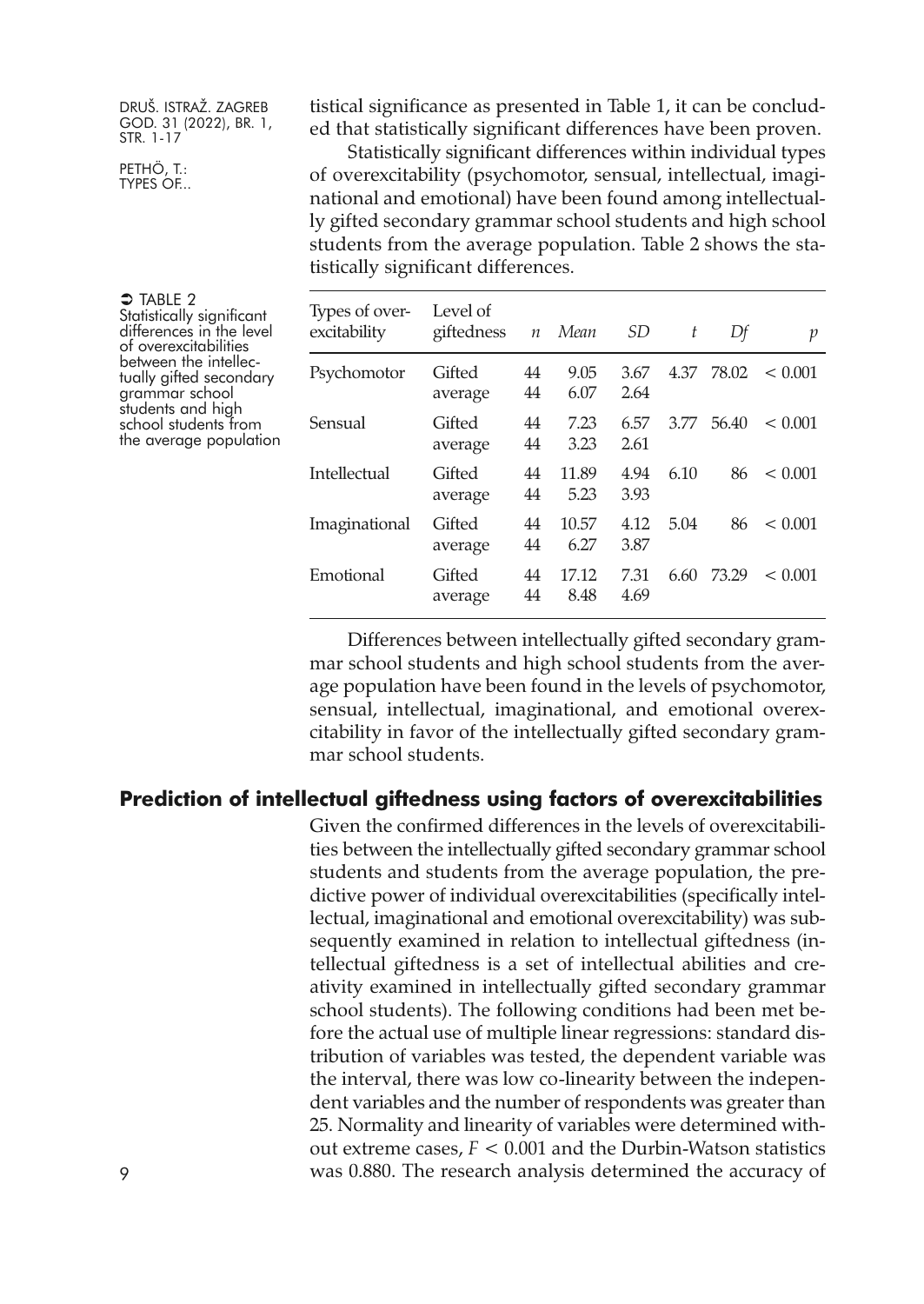PETHÖ, T.: TYPES OF... tistical significance as presented in Table 1, it can be concluded that statistically significant differences have been proven.

Statistically significant differences within individual types of overexcitability (psychomotor, sensual, intellectual, imaginational and emotional) have been found among intellectually gifted secondary grammar school students and high school students from the average population. Table 2 shows the statistically significant differences.

| Types of over-<br>excitability | Level of<br>giftedness | $\boldsymbol{n}$ | Mean          | SD           | t    | Df    | р       |
|--------------------------------|------------------------|------------------|---------------|--------------|------|-------|---------|
| Psychomotor                    | Gifted<br>average      | 44<br>44         | 9.05<br>6.07  | 3.67<br>2.64 | 4.37 | 78.02 | < 0.001 |
| Sensual                        | Gifted<br>average      | 44<br>44         | 7.23<br>3.23  | 6.57<br>2.61 | 3.77 | 56.40 | < 0.001 |
| Intellectual                   | Gifted<br>average      | 44<br>44         | 11.89<br>5.23 | 4.94<br>3.93 | 6.10 | 86    | < 0.001 |
| Imaginational                  | Gifted<br>average      | 44<br>44         | 10.57<br>6.27 | 4.12<br>3.87 | 5.04 | 86    | < 0.001 |
| Emotional                      | Gifted<br>average      | 44<br>44         | 17.12<br>8.48 | 7.31<br>4.69 | 6.60 | 73.29 | < 0.001 |

Differences between intellectually gifted secondary grammar school students and high school students from the average population have been found in the levels of psychomotor, sensual, intellectual, imaginational, and emotional overexcitability in favor of the intellectually gifted secondary grammar school students.

#### **Prediction of intellectual giftedness using factors of overexcitabilities**

Given the confirmed differences in the levels of overexcitabilities between the intellectually gifted secondary grammar school students and students from the average population, the predictive power of individual overexcitabilities (specifically intellectual, imaginational and emotional overexcitability) was subsequently examined in relation to intellectual giftedness (intellectual giftedness is a set of intellectual abilities and creativity examined in intellectually gifted secondary grammar school students). The following conditions had been met before the actual use of multiple linear regressions: standard distribution of variables was tested, the dependent variable was the interval, there was low co-linearity between the independent variables and the number of respondents was greater than 25. Normality and linearity of variables were determined without extreme cases, *F* < 0.001 and the Durbin-Watson statistics was 0.880. The research analysis determined the accuracy of

 $\supset$  Table 2 Statistically significant differences in the level<br>of overexcitabilities<br>between the intellec-<br>tually gifted secondary grammar school students and high school students from the average population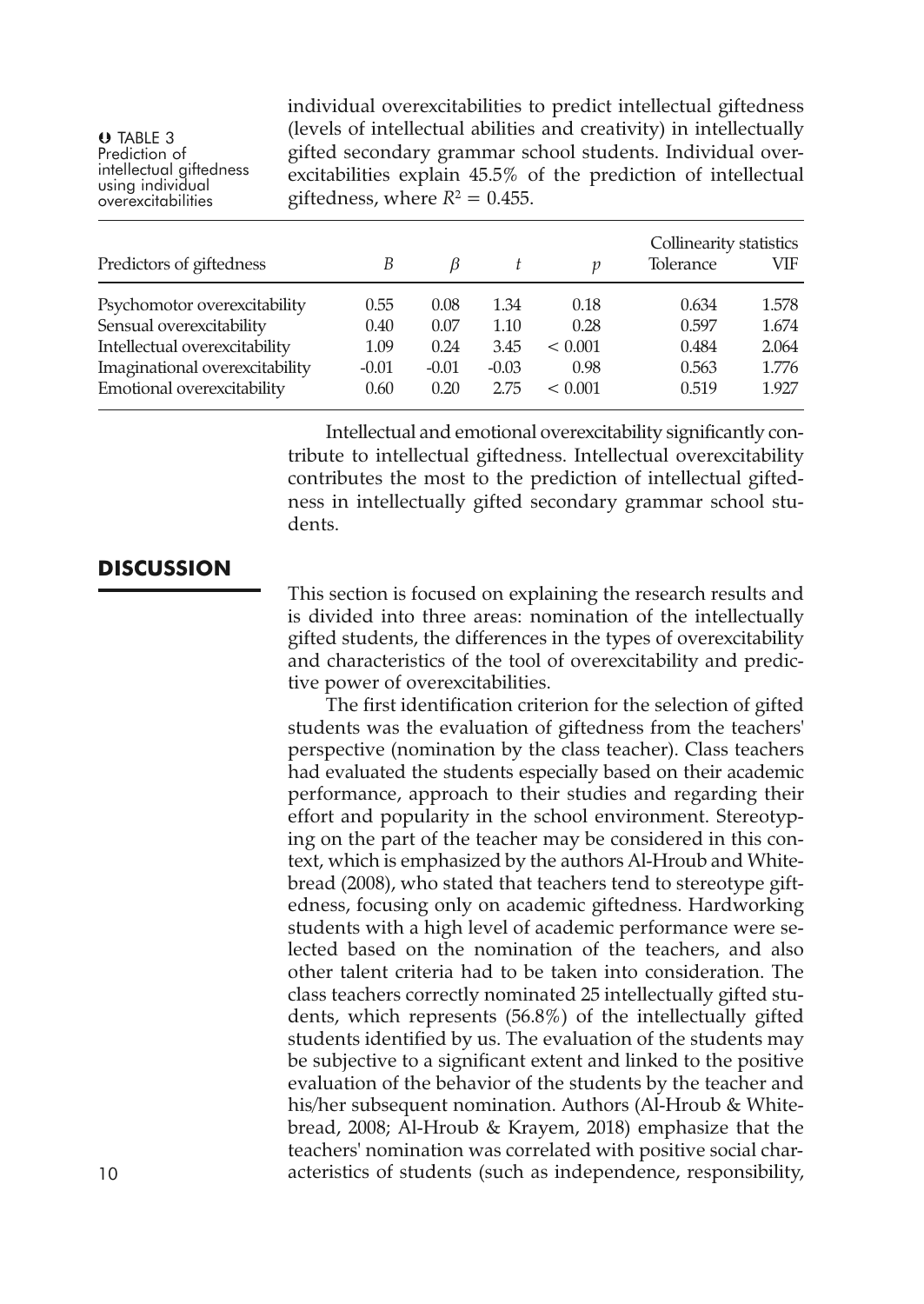TABLE 3 Prediction of intellectual giftedness using individual overexcitabilities individual overexcitabilities to predict intellectual giftedness (levels of intellectual abilities and creativity) in intellectually gifted secondary grammar school students. Individual overexcitabilities explain 45.5% of the prediction of intellectual giftedness, where  $R^2 = 0.455$ .

| Predictors of giftedness       | В       | B       |         | n       | Collinearity statistics<br>Tolerance | VIF   |
|--------------------------------|---------|---------|---------|---------|--------------------------------------|-------|
| Psychomotor overexcitability   | 0.55    | 0.08    | 1.34    | 0.18    | 0.634                                | 1.578 |
| Sensual overexcitability       | 0.40    | 0.07    | 1.10    | 0.28    | 0.597                                | 1.674 |
| Intellectual overexcitability  | 1.09    | 0.24    | 3.45    | < 0.001 | 0.484                                | 2.064 |
| Imaginational overexcitability | $-0.01$ | $-0.01$ | $-0.03$ | 0.98    | 0.563                                | 1.776 |
| Emotional overexcitability     | 0.60    | 0.20    | 2.75    | < 0.001 | 0.519                                | 1.927 |

Intellectual and emotional overexcitability significantly contribute to intellectual giftedness. Intellectual overexcitability contributes the most to the prediction of intellectual giftedness in intellectually gifted secondary grammar school students.

# **DISCUSSION**

This section is focused on explaining the research results and is divided into three areas: nomination of the intellectually gifted students, the differences in the types of overexcitability and characteristics of the tool of overexcitability and predictive power of overexcitabilities.

The first identification criterion for the selection of gifted students was the evaluation of giftedness from the teachers' perspective (nomination by the class teacher). Class teachers had evaluated the students especially based on their academic performance, approach to their studies and regarding their effort and popularity in the school environment. Stereotyping on the part of the teacher may be considered in this context, which is emphasized by the authors Al-Hroub and Whitebread (2008), who stated that teachers tend to stereotype giftedness, focusing only on academic giftedness. Hardworking students with a high level of academic performance were selected based on the nomination of the teachers, and also other talent criteria had to be taken into consideration. The class teachers correctly nominated 25 intellectually gifted students, which represents (56.8%) of the intellectually gifted students identified by us. The evaluation of the students may be subjective to a significant extent and linked to the positive evaluation of the behavior of the students by the teacher and his/her subsequent nomination. Authors (Al-Hroub & Whitebread, 2008; Al-Hroub & Krayem, 2018) emphasize that the teachers' nomination was correlated with positive social char-10 acteristics of students (such as independence, responsibility,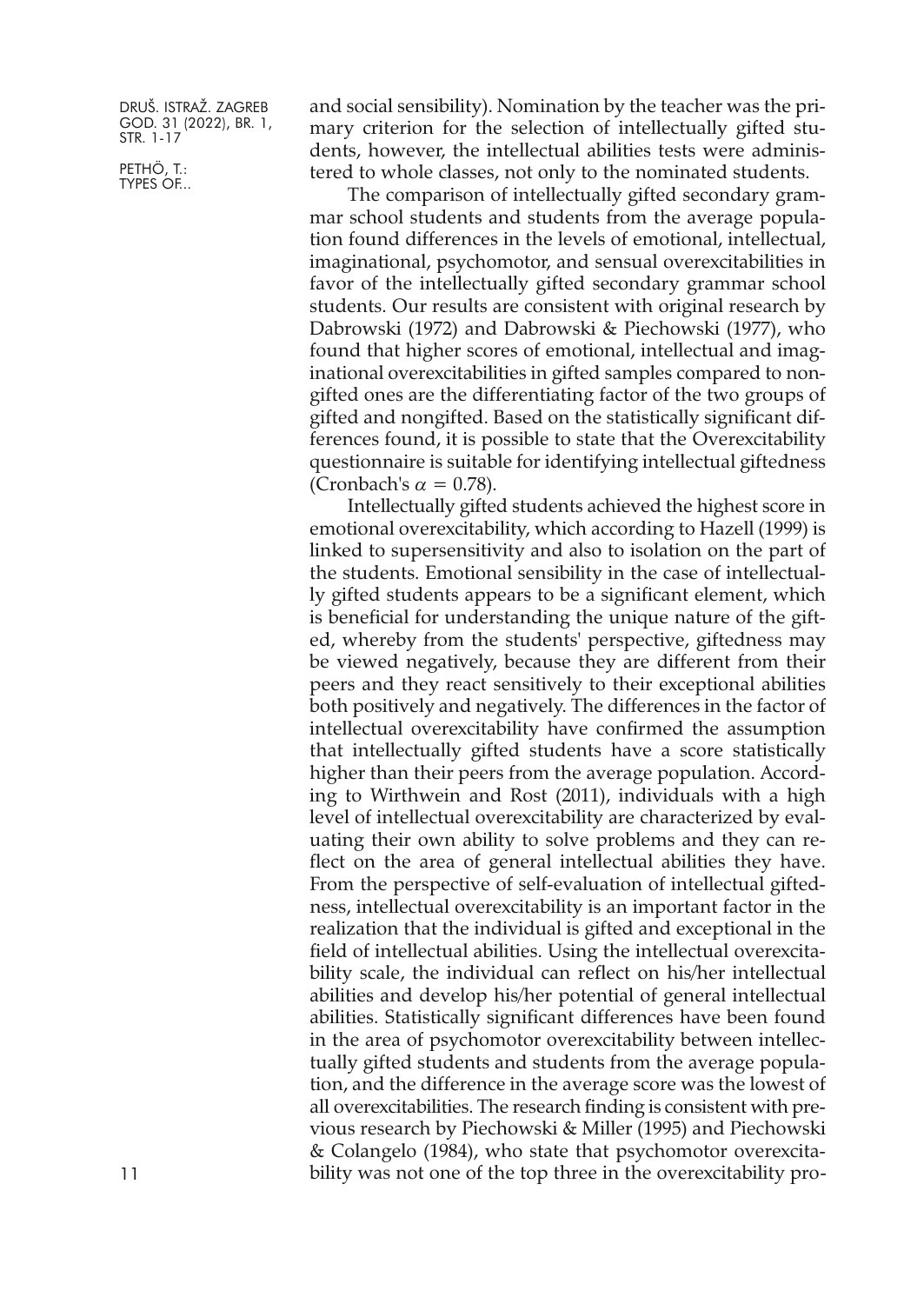PETHÖ, T.: TYPES OF... and social sensibility). Nomination by the teacher was the primary criterion for the selection of intellectually gifted students, however, the intellectual abilities tests were administered to whole classes, not only to the nominated students.

The comparison of intellectually gifted secondary grammar school students and students from the average population found differences in the levels of emotional, intellectual, imaginational, psychomotor, and sensual overexcitabilities in favor of the intellectually gifted secondary grammar school students. Our results are consistent with original research by Dabrowski (1972) and Dabrowski & Piechowski (1977), who found that higher scores of emotional, intellectual and imaginational overexcitabilities in gifted samples compared to nongifted ones are the differentiating factor of the two groups of gifted and nongifted. Based on the statistically significant differences found, it is possible to state that the Overexcitability questionnaire is suitable for identifying intellectual giftedness (Cronbach's  $\alpha = 0.78$ ).

Intellectually gifted students achieved the highest score in emotional overexcitability, which according to Hazell (1999) is linked to supersensitivity and also to isolation on the part of the students. Emotional sensibility in the case of intellectually gifted students appears to be a significant element, which is beneficial for understanding the unique nature of the gifted, whereby from the students' perspective, giftedness may be viewed negatively, because they are different from their peers and they react sensitively to their exceptional abilities both positively and negatively. The differences in the factor of intellectual overexcitability have confirmed the assumption that intellectually gifted students have a score statistically higher than their peers from the average population. According to Wirthwein and Rost (2011), individuals with a high level of intellectual overexcitability are characterized by evaluating their own ability to solve problems and they can reflect on the area of general intellectual abilities they have. From the perspective of self-evaluation of intellectual giftedness, intellectual overexcitability is an important factor in the realization that the individual is gifted and exceptional in the field of intellectual abilities. Using the intellectual overexcitability scale, the individual can reflect on his/her intellectual abilities and develop his/her potential of general intellectual abilities. Statistically significant differences have been found in the area of psychomotor overexcitability between intellectually gifted students and students from the average population, and the difference in the average score was the lowest of all overexcitabilities. The research finding is consistent with previous research by Piechowski & Miller (1995) and Piechowski & Colangelo (1984), who state that psychomotor overexcitability was not one of the top three in the overexcitability pro-

11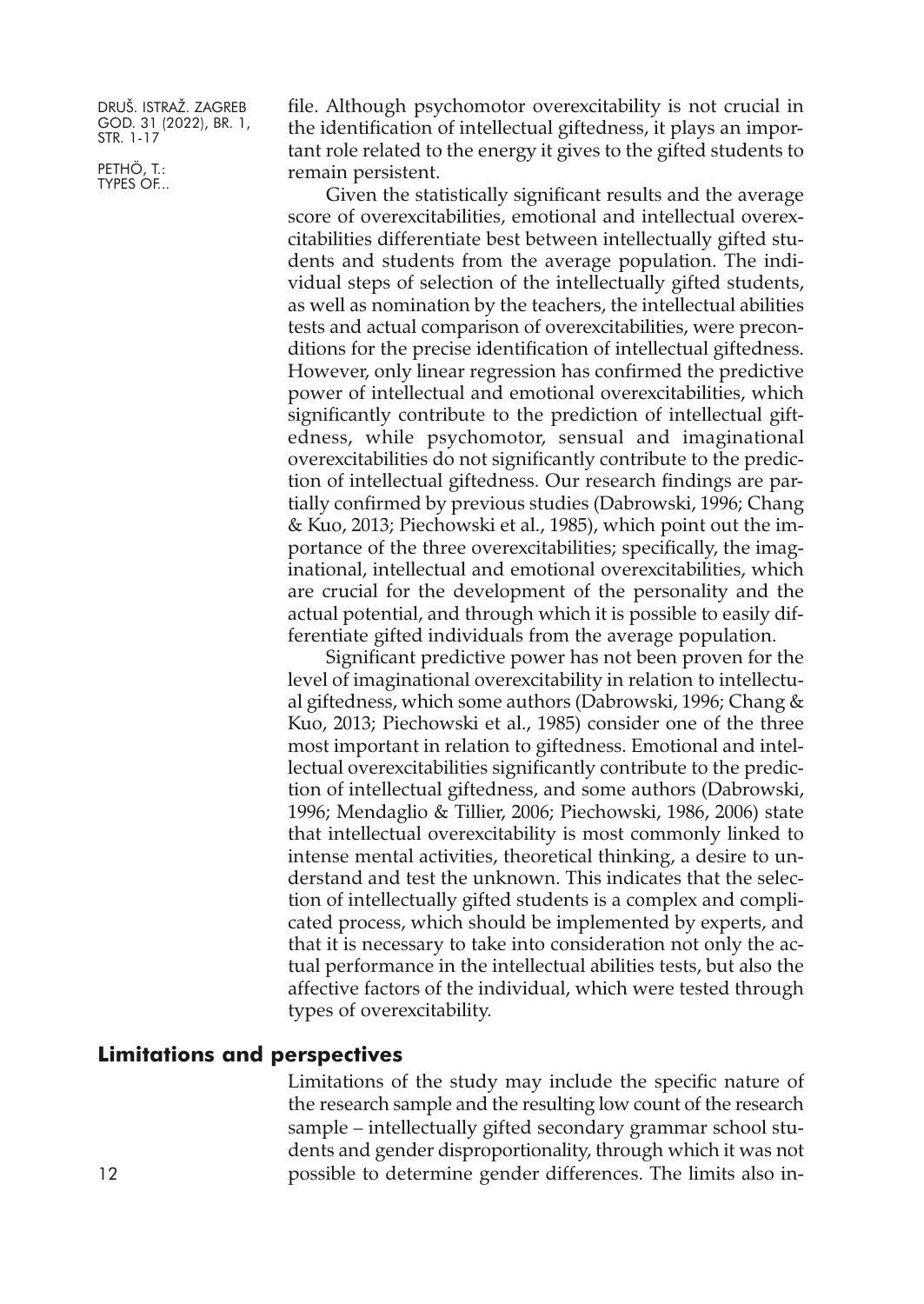PETHÖ, T.: TYPES OF... file. Although psychomotor overexcitability is not crucial in the identification of intellectual giftedness, it plays an important role related to the energy it gives to the gifted students to remain persistent.

Given the statistically significant results and the average score of overexcitabilities, emotional and intellectual overexcitabilities differentiate best between intellectually gifted students and students from the average population. The individual steps of selection of the intellectually gifted students, as well as nomination by the teachers, the intellectual abilities tests and actual comparison of overexcitabilities, were preconditions for the precise identification of intellectual giftedness. However, only linear regression has confirmed the predictive power of intellectual and emotional overexcitabilities, which significantly contribute to the prediction of intellectual giftedness, while psychomotor, sensual and imaginational overexcitabilities do not significantly contribute to the prediction of intellectual giftedness. Our research findings are partially confirmed by previous studies (Dabrowski, 1996; Chang & Kuo, 2013; Piechowski et al., 1985), which point out the importance of the three overexcitabilities; specifically, the imaginational, intellectual and emotional overexcitabilities, which are crucial for the development of the personality and the actual potential, and through which it is possible to easily differentiate gifted individuals from the average population.

Significant predictive power has not been proven for the level of imaginational overexcitability in relation to intellectual giftedness, which some authors (Dabrowski, 1996; Chang & Kuo, 2013; Piechowski et al., 1985) consider one of the three most important in relation to giftedness. Emotional and intellectual overexcitabilities significantly contribute to the prediction of intellectual giftedness, and some authors (Dabrowski, 1996; Mendaglio & Tillier, 2006; Piechowski, 1986, 2006) state that intellectual overexcitability is most commonly linked to intense mental activities, theoretical thinking, a desire to understand and test the unknown. This indicates that the selection of intellectually gifted students is a complex and complicated process, which should be implemented by experts, and that it is necessary to take into consideration not only the actual performance in the intellectual abilities tests, but also the affective factors of the individual, which were tested through types of overexcitability.

## **Limitations and perspectives**

Limitations of the study may include the specific nature of the research sample and the resulting low count of the research sample – intellectually gifted secondary grammar school students and gender disproportionality, through which it was not 12 possible to determine gender differences. The limits also in-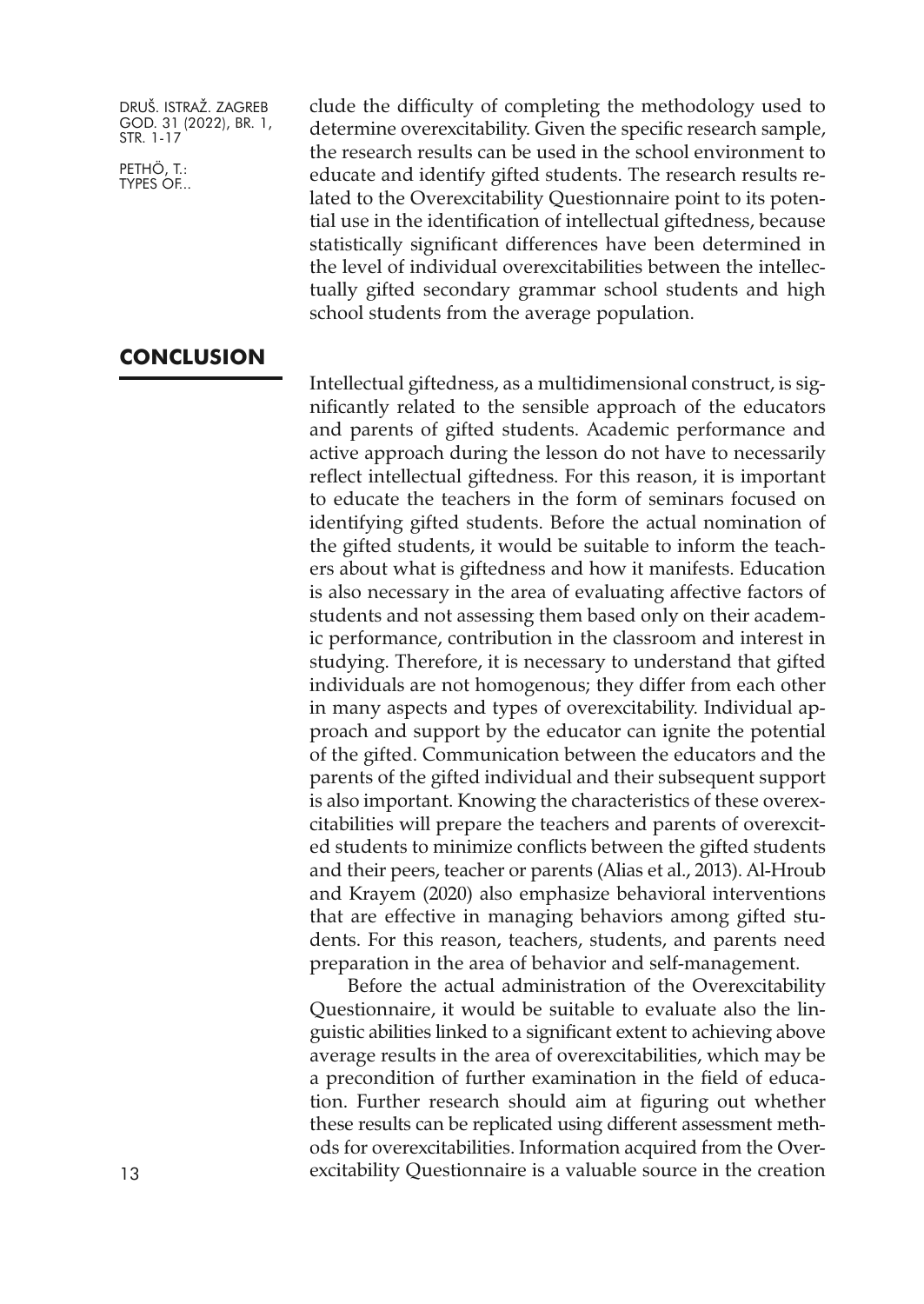**CONCLUSION**

PETHÖ, T.: TYPES OF... clude the difficulty of completing the methodology used to determine overexcitability. Given the specific research sample, the research results can be used in the school environment to educate and identify gifted students. The research results related to the Overexcitability Questionnaire point to its potential use in the identification of intellectual giftedness, because statistically significant differences have been determined in the level of individual overexcitabilities between the intellectually gifted secondary grammar school students and high school students from the average population.

Intellectual giftedness, as a multidimensional construct, is significantly related to the sensible approach of the educators and parents of gifted students. Academic performance and active approach during the lesson do not have to necessarily reflect intellectual giftedness. For this reason, it is important to educate the teachers in the form of seminars focused on identifying gifted students. Before the actual nomination of the gifted students, it would be suitable to inform the teachers about what is giftedness and how it manifests. Education is also necessary in the area of evaluating affective factors of students and not assessing them based only on their academic performance, contribution in the classroom and interest in studying. Therefore, it is necessary to understand that gifted individuals are not homogenous; they differ from each other in many aspects and types of overexcitability. Individual approach and support by the educator can ignite the potential of the gifted. Communication between the educators and the parents of the gifted individual and their subsequent support is also important. Knowing the characteristics of these overexcitabilities will prepare the teachers and parents of overexcited students to minimize conflicts between the gifted students and their peers, teacher or parents (Alias et al., 2013). Al-Hroub and Krayem (2020) also emphasize behavioral interventions that are effective in managing behaviors among gifted students. For this reason, teachers, students, and parents need preparation in the area of behavior and self-management.

Before the actual administration of the Overexcitability Questionnaire, it would be suitable to evaluate also the linguistic abilities linked to a significant extent to achieving above average results in the area of overexcitabilities, which may be a precondition of further examination in the field of education. Further research should aim at figuring out whether these results can be replicated using different assessment methods for overexcitabilities. Information acquired from the Overexcitability Questionnaire is a valuable source in the creation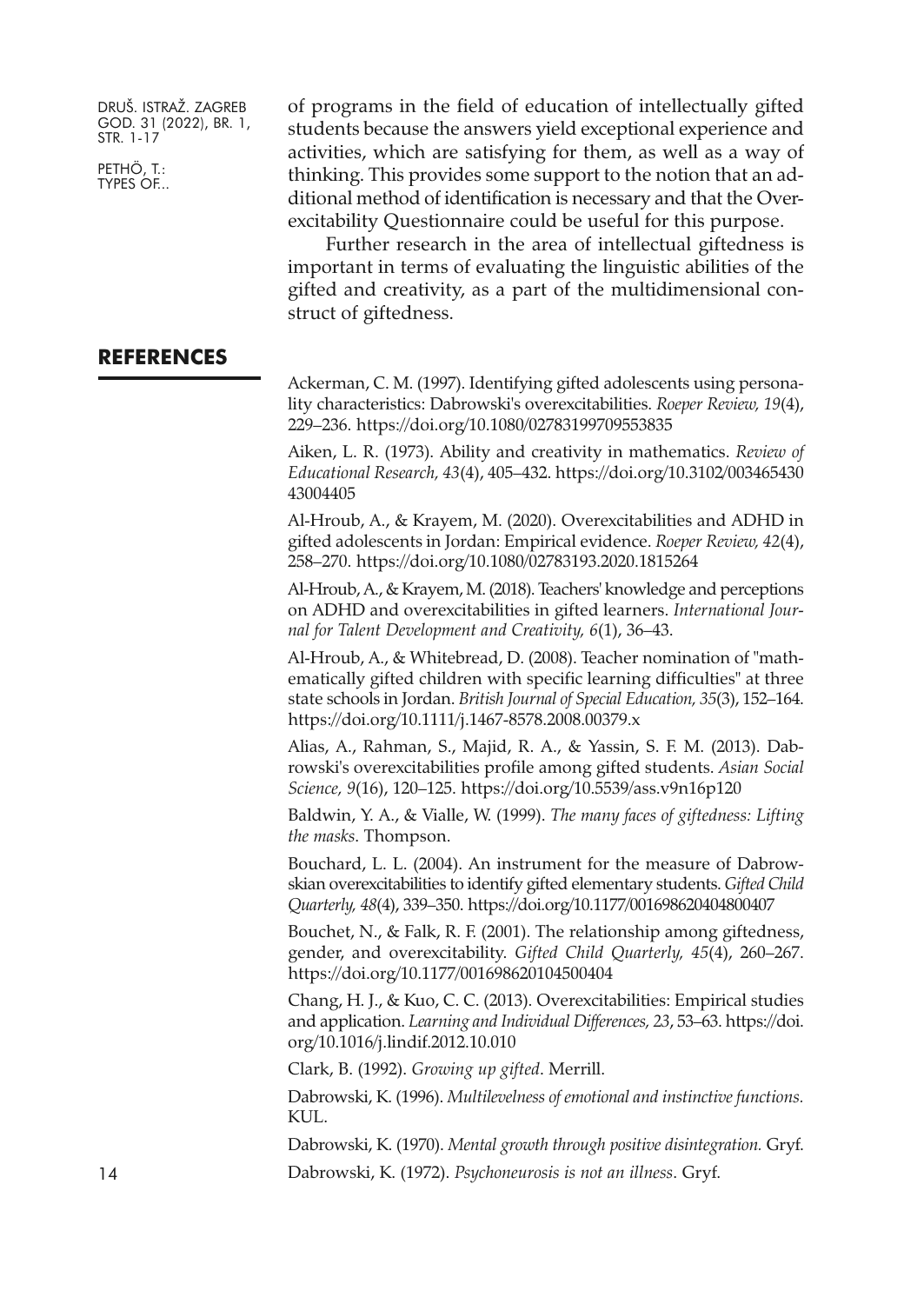PETHÖ, T.: TYPES OF... of programs in the field of education of intellectually gifted students because the answers yield exceptional experience and activities, which are satisfying for them, as well as a way of thinking. This provides some support to the notion that an additional method of identification is necessary and that the Overexcitability Questionnaire could be useful for this purpose.

Further research in the area of intellectual giftedness is important in terms of evaluating the linguistic abilities of the gifted and creativity, as a part of the multidimensional construct of giftedness.

# **REFERENCES**

Ackerman, C. M. (1997). Identifying gifted adolescents using personality characteristics: Dabrowski's overexcitabilities. *Roeper Review, 19*(4), 229–236. <https://doi.org/10.1080/02783199709553835>

Aiken, L. R. (1973). Ability and creativity in mathematics. *Review of Educational Research, 43*(4), 405–432. [https://doi.org/10.3102/003465430](https://doi.org/10.3102/00346543043004405) [43004405](https://doi.org/10.3102/00346543043004405)

Al-Hroub, A., & Krayem, M. (2020). Overexcitabilities and ADHD in gifted adolescents in Jordan: Empirical evidence. *Roeper Review, 42*(4), 258–270. <https://doi.org/10.1080/02783193.2020.1815264>

Al-Hroub,A., & Krayem, M. (2018). Teachers' knowledge and perceptions on ADHD and overexcitabilities in gifted learners. *International Journal for Talent Development and Creativity, 6*(1), 36–43.

Al-Hroub, A., & Whitebread, D. (2008). Teacher nomination of "mathematically gifted children with specific learning difficulties" at three state schools in Jordan. *British Journal of Special Education, 35*(3), 152–164. <https://doi.org/10.1111/j.1467-8578.2008.00379.x>

Alias, A., Rahman, S., Majid, R. A., & Yassin, S. F. M. (2013). Dabrowski's overexcitabilities profile among gifted students. *Asian Social Science, 9*(16), 120–125. <https://doi.org/10.5539/ass.v9n16p120>

Baldwin, Y. A., & Vialle, W. (1999). *The many faces of giftedness: Lifting the masks*. Thompson.

Bouchard, L. L. (2004). An instrument for the measure of Dabrowskian overexcitabilities to identify gifted elementary students. *Gifted Child Quarterly, 48*(4), 339–350. <https://doi.org/10.1177/001698620404800407>

Bouchet, N., & Falk, R. F. (2001). The relationship among giftedness, gender, and overexcitability. *Gifted Child Quarterly, 45*(4), 260–267. <https://doi.org/10.1177/001698620104500404>

Chang, H. J., & Kuo, C. C. (2013). Overexcitabilities: Empirical studies and application. *Learning and Individual Differences, 23*, 53–63. [https://doi.](https://doi.org/10.1016/j.lindif.2012.10.010) [org/10.1016/j.lindif.2012.10.010](https://doi.org/10.1016/j.lindif.2012.10.010)

Clark, B. (1992). *Growing up gifted*. Merrill.

Dabrowski, K. (1996). *Multilevelness of emotional and instinctive functions.* KUL.

Dabrowski, K. (1970). *Mental growth through positive disintegration.* Gryf. 14 Dabrowski, K. (1972). *Psychoneurosis is not an illness*. Gryf.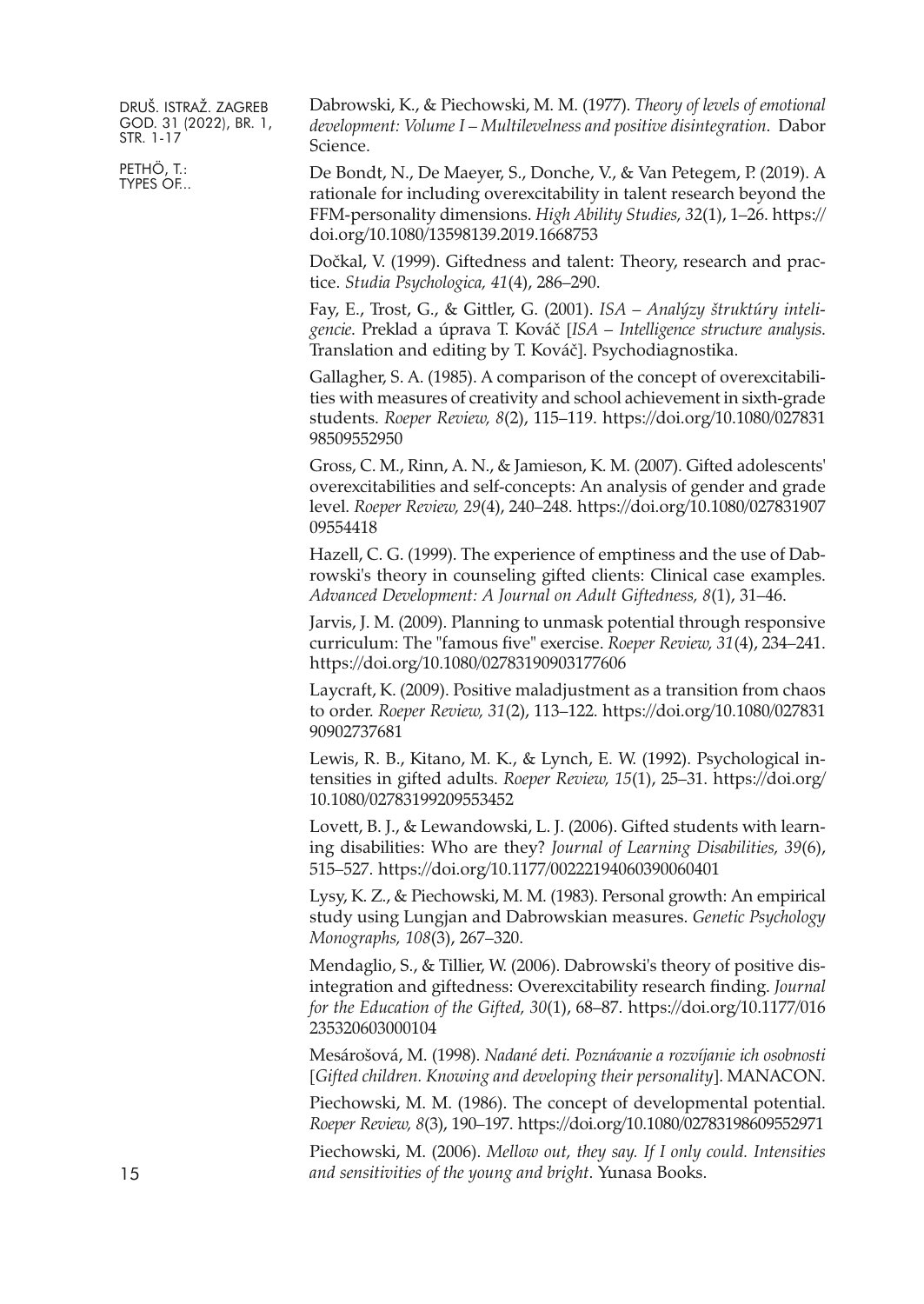PETHÖ, T.: TYPES OF... Dabrowski, K., & Piechowski, M. M. (1977). *Theory of levels of emotional development: Volume I* – *Multilevelness and positive disintegration*. Dabor Science.

De Bondt, N., De Maeyer, S., Donche, V., & Van Petegem, P. (2019). A rationale for including overexcitability in talent research beyond the FFM-personality dimensions. *High Ability Studies, 32*(1), 1–26. [https://](https://doi.org/10.1080/13598139.2019.1668753) [doi.org/10.1080/13598139.2019.1668753](https://doi.org/10.1080/13598139.2019.1668753)

Dočkal, V. (1999). Giftedness and talent: Theory, research and practice. *Studia Psychologica, 41*(4), 286–290.

Fay, E., Trost, G., & Gittler, G. (2001). *ISA – Analýzy štruktúry inteligencie*. Preklad a úprava T. Kováč [*ISA – Intelligence structure analysis*. Translation and editing by T. Kováč]. Psychodiagnostika.

Gallagher, S. A. (1985). A comparison of the concept of overexcitabilities with measures of creativity and school achievement in sixth-grade students. *Roeper Review, 8*(2), 115–119. [https://doi.org/10.1080/027831](https://doi.org/10.1080/02783198509552950) [98509552950](https://doi.org/10.1080/02783198509552950)

Gross, C. M., Rinn, A. N., & Jamieson, K. M. (2007). Gifted adolescents' overexcitabilities and self-concepts: An analysis of gender and grade level. *Roeper Review, 29*(4), 240–248. [https://doi.org/10.1080/027831907](https://doi.org/10.1080/02783190709554418) [09554418](https://doi.org/10.1080/02783190709554418)

Hazell, C. G. (1999). The experience of emptiness and the use of Dabrowski's theory in counseling gifted clients: Clinical case examples. *Advanced Development: A Journal on Adult Giftedness, 8*(1), 31–46.

Jarvis, J. M. (2009). Planning to unmask potential through responsive curriculum: The "famous five" exercise. *Roeper Review, 31*(4), 234–241. <https://doi.org/10.1080/02783190903177606>

Laycraft, K. (2009). Positive maladjustment as a transition from chaos to order. *Roeper Review, 31*(2), 113–122. [https://doi.org/10.1080/027831](https://doi.org/10.1080/02783190902737681) [90902737681](https://doi.org/10.1080/02783190902737681)

Lewis, R. B., Kitano, M. K., & Lynch, E. W. (1992). Psychological intensities in gifted adults. *Roeper Review, 15*(1), 25–31. [https://doi.org/](https://doi.org/10.1080/02783199209553452) [10.1080/02783199209553452](https://doi.org/10.1080/02783199209553452)

Lovett, B. J., & Lewandowski, L. J. (2006). Gifted students with learning disabilities: Who are they? *Journal of Learning Disabilities, 39*(6), 515–527. <https://doi.org/10.1177/00222194060390060401>

Lysy, K. Z., & Piechowski, M. M. (1983). Personal growth: An empirical study using Lungjan and Dabrowskian measures. *Genetic Psychology Monographs, 108*(3), 267–320.

Mendaglio, S., & Tillier, W. (2006). Dabrowski's theory of positive disintegration and giftedness: Overexcitability research finding. *Journal for the Education of the Gifted, 30*(1), 68–87. [https://doi.org/10.1177/016](https://doi.org/10.1177/016235320603000104) [235320603000104](https://doi.org/10.1177/016235320603000104)

Mesárošová, M. (1998). *Nadané deti. Poznávanie a rozvíjanie ich osobnosti* [*Gifted children. Knowing and developing their personality*]. MANACON.

Piechowski, M. M. (1986). The concept of developmental potential. *Roeper Review, 8*(3), 190–197. <https://doi.org/10.1080/02783198609552971>

Piechowski, M. (2006). *Mellow out, they say. If I only could. Intensities and sensitivities of the young and bright*. Yunasa Books.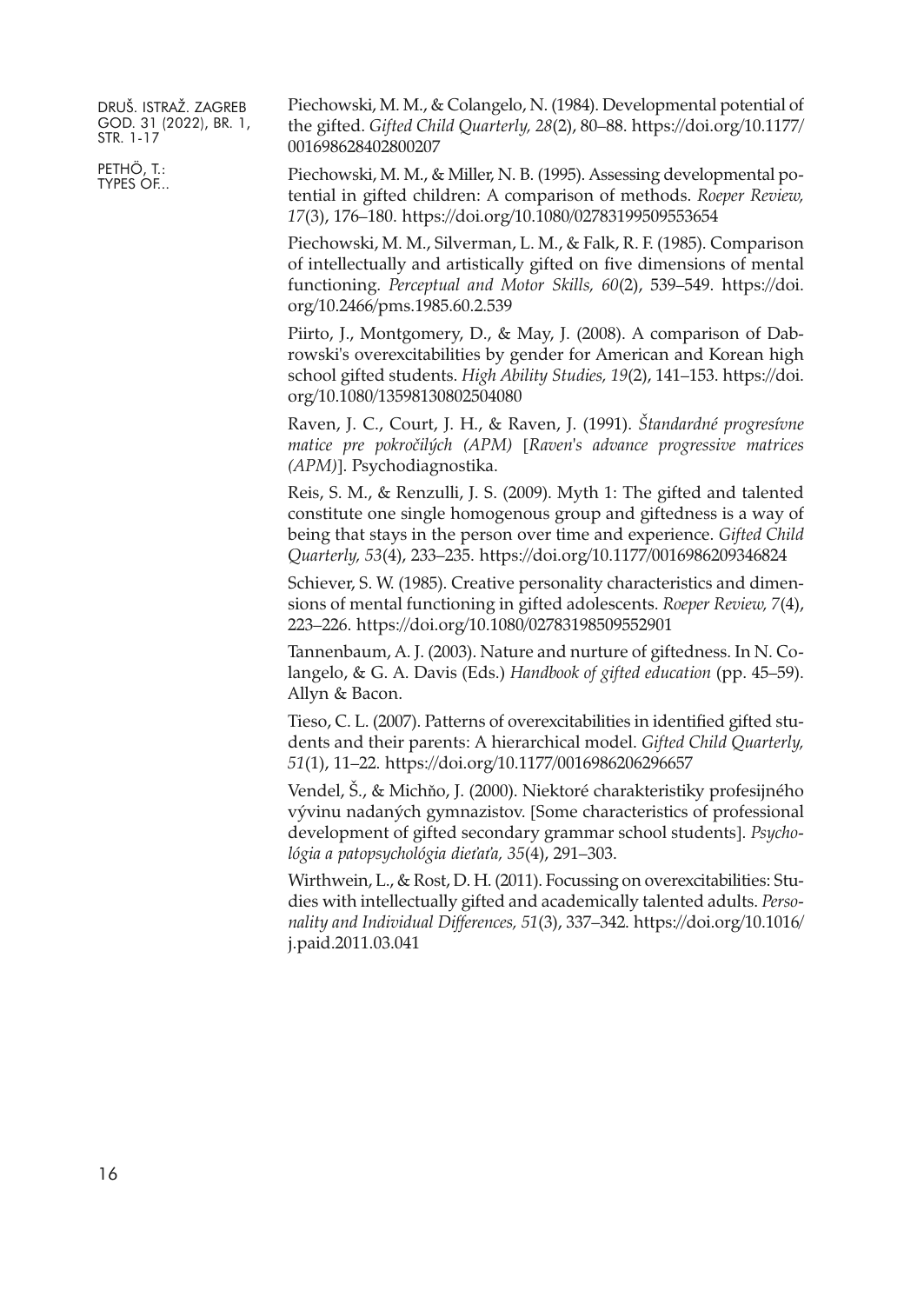PETHÖ, T.: TYPES OF... Piechowski, M. M., & Colangelo, N. (1984). Developmental potential of the gifted. *Gifted Child Quarterly, 28*(2), 80–88. [https://doi.org/10.1177/](https://doi.org/10.1177/001698628402800207) [001698628402800207](https://doi.org/10.1177/001698628402800207)

Piechowski, M. M., & Miller, N. B. (1995). Assessing developmental potential in gifted children: A comparison of methods. *Roeper Review, 17*(3), 176–180. <https://doi.org/10.1080/02783199509553654>

Piechowski, M. M., Silverman, L. M., & Falk, R. F. (1985). Comparison of intellectually and artistically gifted on five dimensions of mental functioning. *Perceptual and Motor Skills, 60*(2), 539–549. [https://doi.](https://doi.org/10.2466/pms.1985.60.2.539) [org/10.2466/pms.1985.60.2.539](https://doi.org/10.2466/pms.1985.60.2.539)

Piirto, J., Montgomery, D., & May, J. (2008). A comparison of Dabrowski's overexcitabilities by gender for American and Korean high school gifted students. *High Ability Studies, 19*(2), 141–153. [https://doi.](https://doi.org/10.1080/13598130802504080) [org/10.1080/13598130802504080](https://doi.org/10.1080/13598130802504080)

Raven, J. C., Court, J. H., & Raven, J. (1991). *Štandardné progresívne matice pre pokročilých (APM)* [*Raven's advance progressive matrices (APM)*]. Psychodiagnostika.

Reis, S. M., & Renzulli, J. S. (2009). Myth 1: The gifted and talented constitute one single homogenous group and giftedness is a way of being that stays in the person over time and experience. *Gifted Child Quarterly, 53*(4), 233–235. <https://doi.org/10.1177/0016986209346824>

Schiever, S. W. (1985). Creative personality characteristics and dimensions of mental functioning in gifted adolescents. *Roeper Review, 7*(4), 223–226. <https://doi.org/10.1080/02783198509552901>

Tannenbaum, A. J. (2003). Nature and nurture of giftedness. In N. Colangelo, & G. A. Davis (Eds.) *Handbook of gifted education* (pp. 45–59). Allyn & Bacon.

Tieso, C. L. (2007). Patterns of overexcitabilities in identified gifted students and their parents: A hierarchical model. *Gifted Child Quarterly, 51*(1), 11–22. <https://doi.org/10.1177/0016986206296657>

Vendel, Š., & Michňo, J. (2000). Niektoré charakteristiky profesijného vývinu nadaných gymnazistov. [Some characteristics of professional development of gifted secondary grammar school students]. *Psychológia a patopsychológia dieťaťa, 35*(4), 291–303.

Wirthwein, L., & Rost, D. H. (2011). Focussing on overexcitabilities: Studies with intellectually gifted and academically talented adults. *Personality and Individual Differences, 51*(3), 337–342. [https://doi.org/10.1016/](https://doi.org/10.1016/j.paid.2011.03.041) [j.paid.2011.03.041](https://doi.org/10.1016/j.paid.2011.03.041)